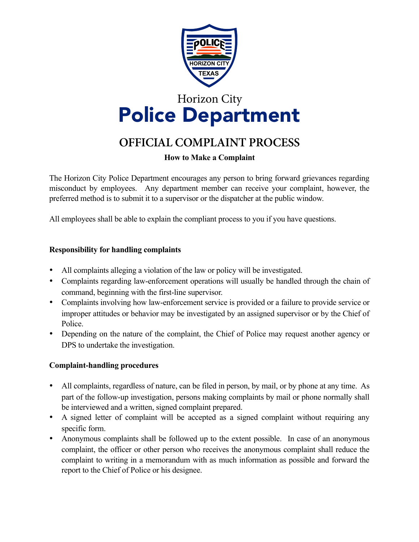

# Horizon City Police Department

# **OFFICIAL COMPLAINT PROCESS**

## **How to Make a Complaint**

The Horizon City Police Department encourages any person to bring forward grievances regarding misconduct by employees. Any department member can receive your complaint, however, the preferred method is to submit it to a supervisor or the dispatcher at the public window.

All employees shall be able to explain the compliant process to you if you have questions.

#### **Responsibility for handling complaints**

- All complaints alleging a violation of the law or policy will be investigated.
- Complaints regarding law-enforcement operations will usually be handled through the chain of command, beginning with the first-line supervisor.
- Complaints involving how law-enforcement service is provided or a failure to provide service or improper attitudes or behavior may be investigated by an assigned supervisor or by the Chief of Police.
- Depending on the nature of the complaint, the Chief of Police may request another agency or DPS to undertake the investigation.

## **Complaint-handling procedures**

- All complaints, regardless of nature, can be filed in person, by mail, or by phone at any time. As part of the follow-up investigation, persons making complaints by mail or phone normally shall be interviewed and a written, signed complaint prepared.
- A signed letter of complaint will be accepted as a signed complaint without requiring any specific form.
- Anonymous complaints shall be followed up to the extent possible. In case of an anonymous complaint, the officer or other person who receives the anonymous complaint shall reduce the complaint to writing in a memorandum with as much information as possible and forward the report to the Chief of Police or his designee.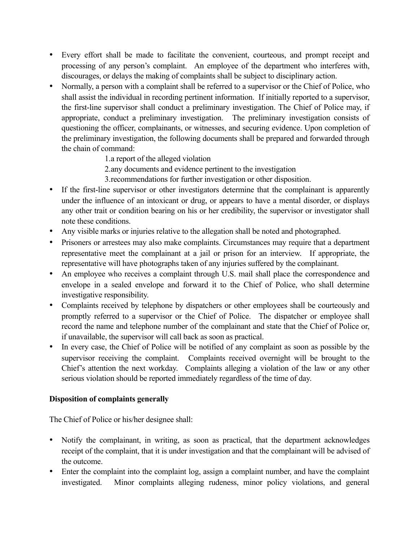- Every effort shall be made to facilitate the convenient, courteous, and prompt receipt and processing of any person's complaint. An employee of the department who interferes with, discourages, or delays the making of complaints shall be subject to disciplinary action.
- Normally, a person with a complaint shall be referred to a supervisor or the Chief of Police, who shall assist the individual in recording pertinent information. If initially reported to a supervisor, the first-line supervisor shall conduct a preliminary investigation. The Chief of Police may, if appropriate, conduct a preliminary investigation. The preliminary investigation consists of questioning the officer, complainants, or witnesses, and securing evidence. Upon completion of the preliminary investigation, the following documents shall be prepared and forwarded through the chain of command:

1. a report of the alleged violation

2. any documents and evidence pertinent to the investigation

3. recommendations for further investigation or other disposition.

- If the first-line supervisor or other investigators determine that the complainant is apparently under the influence of an intoxicant or drug, or appears to have a mental disorder, or displays any other trait or condition bearing on his or her credibility, the supervisor or investigator shall note these conditions.
- Any visible marks or injuries relative to the allegation shall be noted and photographed.
- Prisoners or arrestees may also make complaints. Circumstances may require that a department representative meet the complainant at a jail or prison for an interview. If appropriate, the representative will have photographs taken of any injuries suffered by the complainant.
- An employee who receives a complaint through U.S. mail shall place the correspondence and envelope in a sealed envelope and forward it to the Chief of Police, who shall determine investigative responsibility.
- Complaints received by telephone by dispatchers or other employees shall be courteously and promptly referred to a supervisor or the Chief of Police. The dispatcher or employee shall record the name and telephone number of the complainant and state that the Chief of Police or, if unavailable, the supervisor will call back as soon as practical.
- In every case, the Chief of Police will be notified of any complaint as soon as possible by the supervisor receiving the complaint. Complaints received overnight will be brought to the Chief's attention the next workday. Complaints alleging a violation of the law or any other serious violation should be reported immediately regardless of the time of day.

#### **Disposition of complaints generally**

The Chief of Police or his/her designee shall:

- Notify the complainant, in writing, as soon as practical, that the department acknowledges receipt of the complaint, that it is under investigation and that the complainant will be advised of the outcome.
- Enter the complaint into the complaint log, assign a complaint number, and have the complaint investigated. Minor complaints alleging rudeness, minor policy violations, and general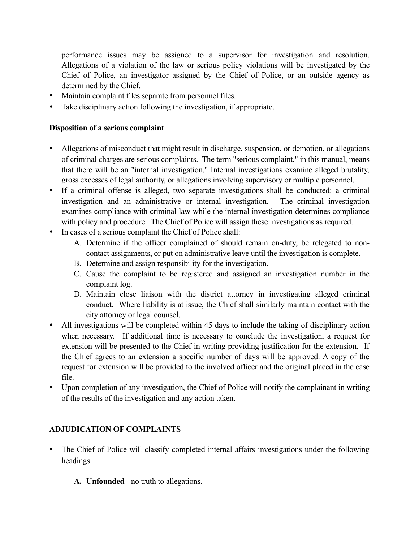performance issues may be assigned to a supervisor for investigation and resolution. Allegations of a violation of the law or serious policy violations will be investigated by the Chief of Police, an investigator assigned by the Chief of Police, or an outside agency as determined by the Chief.

- Maintain complaint files separate from personnel files.
- Take disciplinary action following the investigation, if appropriate.

#### **Disposition of a serious complaint**

- Allegations of misconduct that might result in discharge, suspension, or demotion, or allegations of criminal charges are serious complaints. The term "serious complaint," in this manual, means that there will be an "internal investigation." Internal investigations examine alleged brutality, gross excesses of legal authority, or allegations involving supervisory or multiple personnel.
- If a criminal offense is alleged, two separate investigations shall be conducted: a criminal investigation and an administrative or internal investigation. The criminal investigation examines compliance with criminal law while the internal investigation determines compliance with policy and procedure. The Chief of Police will assign these investigations as required.
- In cases of a serious complaint the Chief of Police shall:
	- A. Determine if the officer complained of should remain on-duty, be relegated to noncontact assignments, or put on administrative leave until the investigation is complete.
	- B. Determine and assign responsibility for the investigation.
	- C. Cause the complaint to be registered and assigned an investigation number in the complaint log.
	- D. Maintain close liaison with the district attorney in investigating alleged criminal conduct. Where liability is at issue, the Chief shall similarly maintain contact with the city attorney or legal counsel.
- All investigations will be completed within 45 days to include the taking of disciplinary action when necessary. If additional time is necessary to conclude the investigation, a request for extension will be presented to the Chief in writing providing justification for the extension. If the Chief agrees to an extension a specific number of days will be approved. A copy of the request for extension will be provided to the involved officer and the original placed in the case file.
- Upon completion of any investigation, the Chief of Police will notify the complainant in writing of the results of the investigation and any action taken.

# **ADJUDICATION OF COMPLAINTS**

- The Chief of Police will classify completed internal affairs investigations under the following headings:
	- **A. Unfounded** no truth to allegations.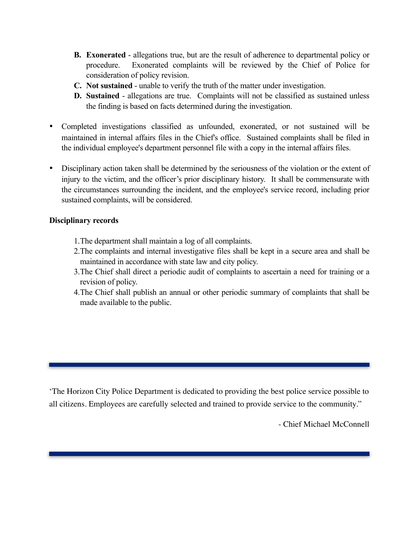- **B. Exonerated** allegations true, but are the result of adherence to departmental policy or procedure. Exonerated complaints will be reviewed by the Chief of Police for consideration of policy revision.
- **C. Not sustained** unable to verify the truth of the matter under investigation.
- **D. Sustained** allegations are true. Complaints will not be classified as sustained unless the finding is based on facts determined during the investigation.
- Completed investigations classified as unfounded, exonerated, or not sustained will be maintained in internal affairs files in the Chief's office. Sustained complaints shall be filed in the individual employee's department personnel file with a copy in the internal affairs files.
- Disciplinary action taken shall be determined by the seriousness of the violation or the extent of injury to the victim, and the officer's prior disciplinary history. It shall be commensurate with the circumstances surrounding the incident, and the employee's service record, including prior sustained complaints, will be considered.

#### **Disciplinary records**

- 1. The department shall maintain a log of all complaints.
- 2. The complaints and internal investigative files shall be kept in a secure area and shall be maintained in accordance with state law and city policy.
- 3. The Chief shall direct a periodic audit of complaints to ascertain a need for training or a revision of policy.
- 4. The Chief shall publish an annual or other periodic summary of complaints that shall be made available to the public.

'The Horizon City Police Department is dedicated to providing the best police service possible to all citizens. Employees are carefully selected and trained to provide service to the community."

- Chief Michael McConnell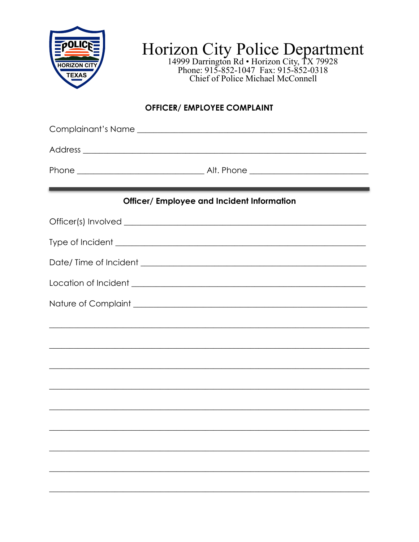

Horizon City Police Department<br>
14999 Darrington Rd . Horizon City, TX 79928<br>
Phone: 915-852-1047 Fax: 915-852-0318<br>
Chief of Police Michael McConnell

# **OFFICER/ EMPLOYEE COMPLAINT**

| Complainant's Name                                          |  |  |  |  |  |
|-------------------------------------------------------------|--|--|--|--|--|
|                                                             |  |  |  |  |  |
|                                                             |  |  |  |  |  |
| <b>Officer/ Employee and Incident Information</b>           |  |  |  |  |  |
|                                                             |  |  |  |  |  |
|                                                             |  |  |  |  |  |
|                                                             |  |  |  |  |  |
|                                                             |  |  |  |  |  |
| Nature of Complaint <u>example and the set of complaint</u> |  |  |  |  |  |
|                                                             |  |  |  |  |  |
|                                                             |  |  |  |  |  |
|                                                             |  |  |  |  |  |
|                                                             |  |  |  |  |  |
|                                                             |  |  |  |  |  |
|                                                             |  |  |  |  |  |
|                                                             |  |  |  |  |  |
|                                                             |  |  |  |  |  |
|                                                             |  |  |  |  |  |